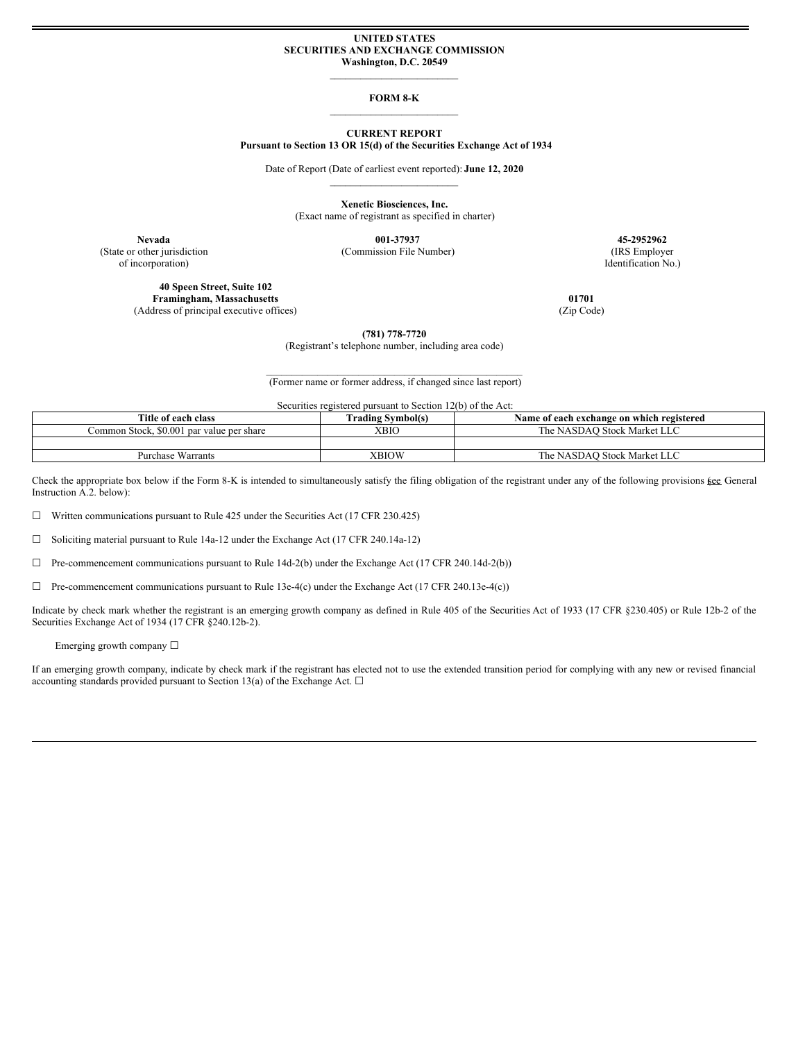### **UNITED STATES SECURITIES AND EXCHANGE COMMISSION Washington, D.C. 20549**

 $\mathcal{L}_\text{max}$ 

### **FORM 8-K**  $\mathcal{L}_\text{max}$

### **CURRENT REPORT Pursuant to Section 13 OR 15(d) of the Securities Exchange Act of 1934**

Date of Report (Date of earliest event reported): **June 12, 2020**  $\mathcal{L}_\text{max}$ 

> **Xenetic Biosciences, Inc.** (Exact name of registrant as specified in charter)

**Nevada 001-37937 45-2952962** (State or other jurisdiction (Commission File Number) (IRS Employer

of incorporation) Identification No.)

**40 Speen Street, Suite 102 Framingham, Massachusetts 01701** (Address of principal executive offices) (Zip Code)

**(781) 778-7720**

(Registrant's telephone number, including area code)

 $\mathcal{L}_\text{max}$  and the contract of the contract of the contract of the contract of the contract of the contract of the contract of the contract of the contract of the contract of the contract of the contract of the contrac (Former name or former address, if changed since last report)

Securities registered pursuant to Section 12(b) of the Act:

| Title of each class                       | <b>Trading Symbol(s)</b> | Name of each exchange on which registered |
|-------------------------------------------|--------------------------|-------------------------------------------|
| Common Stock, \$0.001 par value per share | XBIO                     | The NASDAO Stock Market LLC               |
|                                           |                          |                                           |
| Purchase Warrants                         | XBIOW                    | The NASDAO Stock Market LLC               |

Check the appropriate box below if the Form 8-K is intended to simultaneously satisfy the filing obligation of the registrant under any of the following provisions kee General Instruction A.2. below):

 $\Box$  Written communications pursuant to Rule 425 under the Securities Act (17 CFR 230.425)

☐ Soliciting material pursuant to Rule 14a-12 under the Exchange Act (17 CFR 240.14a-12)

☐ Pre-commencement communications pursuant to Rule 14d-2(b) under the Exchange Act (17 CFR 240.14d-2(b))

☐ Pre-commencement communications pursuant to Rule 13e-4(c) under the Exchange Act (17 CFR 240.13e-4(c))

Indicate by check mark whether the registrant is an emerging growth company as defined in Rule 405 of the Securities Act of 1933 (17 CFR §230.405) or Rule 12b-2 of the Securities Exchange Act of 1934 (17 CFR §240.12b-2).

# Emerging growth company  $\Box$

If an emerging growth company, indicate by check mark if the registrant has elected not to use the extended transition period for complying with any new or revised financial accounting standards provided pursuant to Section 13(a) of the Exchange Act.  $\Box$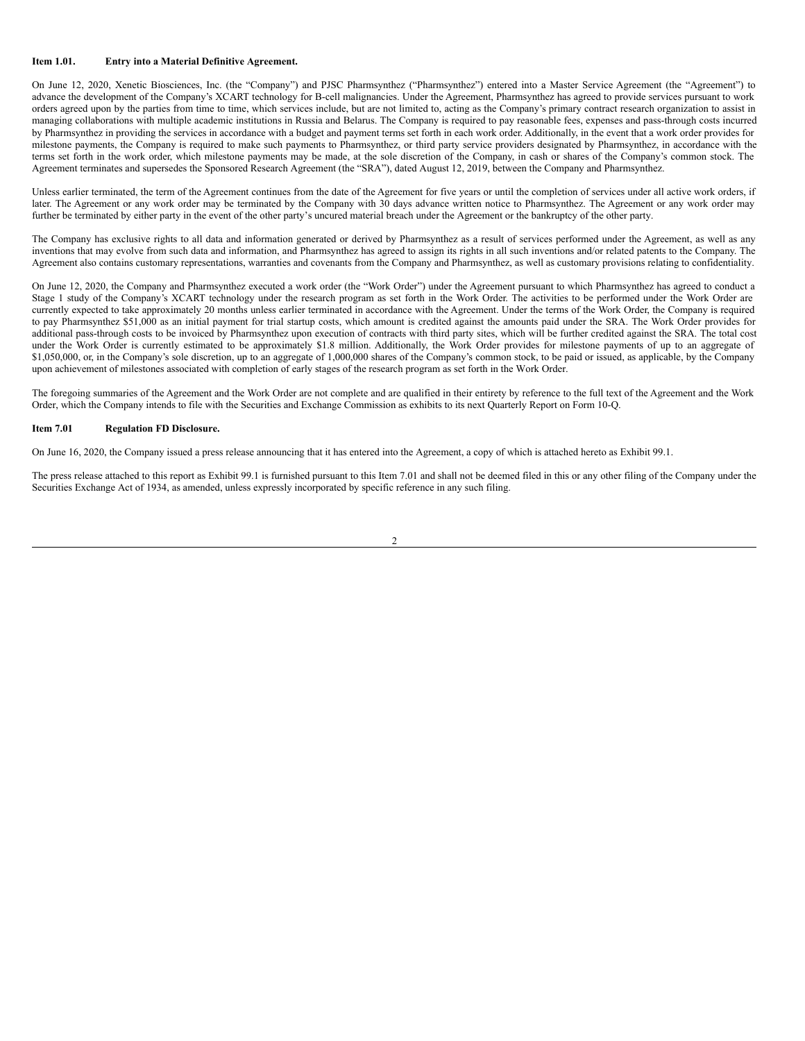### **Item 1.01. Entry into a Material Definitive Agreement.**

On June 12, 2020, Xenetic Biosciences, Inc. (the "Company") and PJSC Pharmsynthez ("Pharmsynthez") entered into a Master Service Agreement (the "Agreement") to advance the development of the Company's XCART technology for B-cell malignancies. Under the Agreement, Pharmsynthez has agreed to provide services pursuant to work orders agreed upon by the parties from time to time, which services include, but are not limited to, acting as the Company's primary contract research organization to assist in managing collaborations with multiple academic institutions in Russia and Belarus. The Company is required to pay reasonable fees, expenses and pass-through costs incurred by Pharmsynthez in providing the services in accordance with a budget and payment terms set forth in each work order. Additionally, in the event that a work order provides for milestone payments, the Company is required to make such payments to Pharmsynthez, or third party service providers designated by Pharmsynthez, in accordance with the terms set forth in the work order, which milestone payments may be made, at the sole discretion of the Company, in cash or shares of the Company's common stock. The Agreement terminates and supersedes the Sponsored Research Agreement (the "SRA"), dated August 12, 2019, between the Company and Pharmsynthez.

Unless earlier terminated, the term of the Agreement continues from the date of the Agreement for five years or until the completion of services under all active work orders, if later. The Agreement or any work order may be terminated by the Company with 30 days advance written notice to Pharmsynthez. The Agreement or any work order may further be terminated by either party in the event of the other party's uncured material breach under the Agreement or the bankruptcy of the other party.

The Company has exclusive rights to all data and information generated or derived by Pharmsynthez as a result of services performed under the Agreement, as well as any inventions that may evolve from such data and information, and Pharmsynthez has agreed to assign its rights in all such inventions and/or related patents to the Company. The Agreement also contains customary representations, warranties and covenants from the Company and Pharmsynthez, as well as customary provisions relating to confidentiality.

On June 12, 2020, the Company and Pharmsynthez executed a work order (the "Work Order") under the Agreement pursuant to which Pharmsynthez has agreed to conduct a Stage 1 study of the Company's XCART technology under the research program as set forth in the Work Order. The activities to be performed under the Work Order are currently expected to take approximately 20 months unless earlier terminated in accordance with the Agreement. Under the terms of the Work Order, the Company is required to pay Pharmsynthez \$51,000 as an initial payment for trial startup costs, which amount is credited against the amounts paid under the SRA. The Work Order provides for additional pass-through costs to be invoiced by Pharmsynthez upon execution of contracts with third party sites, which will be further credited against the SRA. The total cost under the Work Order is currently estimated to be approximately \$1.8 million. Additionally, the Work Order provides for milestone payments of up to an aggregate of \$1,050,000, or, in the Company's sole discretion, up to an aggregate of 1,000,000 shares of the Company's common stock, to be paid or issued, as applicable, by the Company upon achievement of milestones associated with completion of early stages of the research program as set forth in the Work Order.

The foregoing summaries of the Agreement and the Work Order are not complete and are qualified in their entirety by reference to the full text of the Agreement and the Work Order, which the Company intends to file with the Securities and Exchange Commission as exhibits to its next Quarterly Report on Form 10-Q.

### **Item 7.01 Regulation FD Disclosure.**

On June 16, 2020, the Company issued a press release announcing that it has entered into the Agreement, a copy of which is attached hereto as Exhibit 99.1.

The press release attached to this report as Exhibit 99.1 is furnished pursuant to this Item 7.01 and shall not be deemed filed in this or any other filing of the Company under the Securities Exchange Act of 1934, as amended, unless expressly incorporated by specific reference in any such filing.

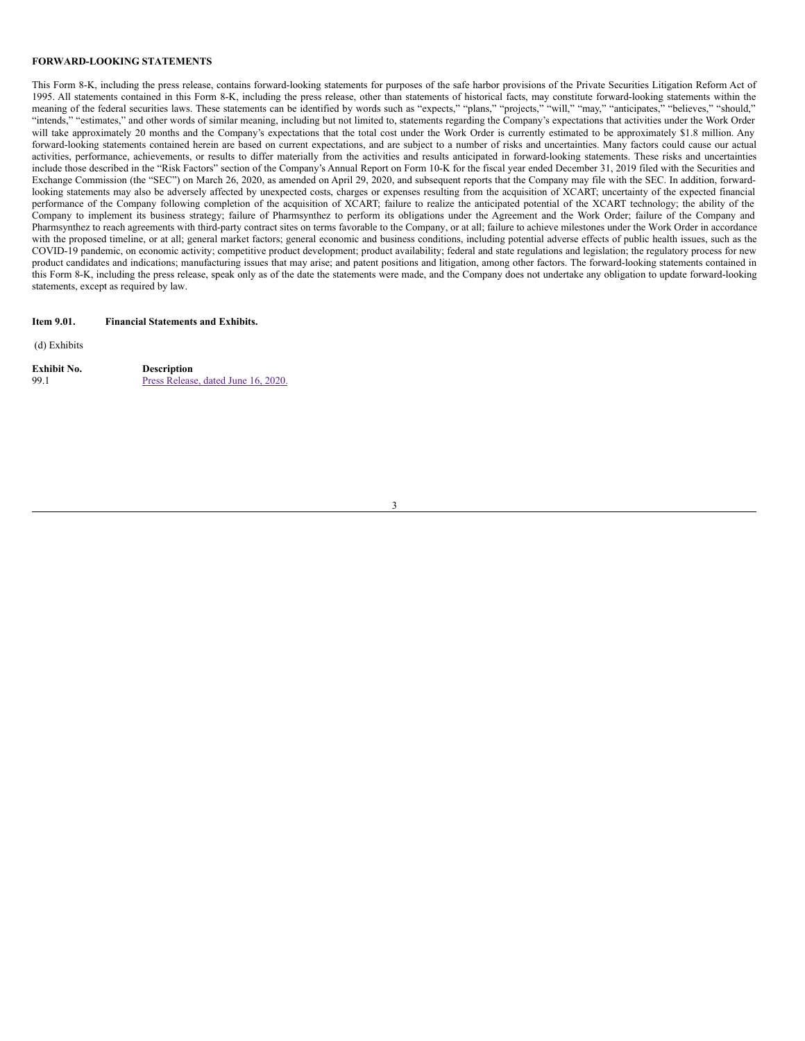#### **FORWARD-LOOKING STATEMENTS**

This Form 8-K, including the press release, contains forward-looking statements for purposes of the safe harbor provisions of the Private Securities Litigation Reform Act of 1995. All statements contained in this Form 8-K, including the press release, other than statements of historical facts, may constitute forward-looking statements within the meaning of the federal securities laws. These statements can be identified by words such as "expects," "plans," "projects," "will," "may," "anticipates," "believes," "should," "intends," "estimates," and other words of similar meaning, including but not limited to, statements regarding the Company's expectations that activities under the Work Order will take approximately 20 months and the Company's expectations that the total cost under the Work Order is currently estimated to be approximately \$1.8 million. Any forward-looking statements contained herein are based on current expectations, and are subject to a number of risks and uncertainties. Many factors could cause our actual activities, performance, achievements, or results to differ materially from the activities and results anticipated in forward-looking statements. These risks and uncertainties include those described in the "Risk Factors" section of the Company's Annual Report on Form 10-K for the fiscal year ended December 31, 2019 filed with the Securities and Exchange Commission (the "SEC") on March 26, 2020, as amended on April 29, 2020, and subsequent reports that the Company may file with the SEC. In addition, forwardlooking statements may also be adversely affected by unexpected costs, charges or expenses resulting from the acquisition of XCART; uncertainty of the expected financial performance of the Company following completion of the acquisition of XCART; failure to realize the anticipated potential of the XCART technology; the ability of the Company to implement its business strategy; failure of Pharmsynthez to perform its obligations under the Agreement and the Work Order; failure of the Company and Pharmsynthez to reach agreements with third-party contract sites on terms favorable to the Company, or at all; failure to achieve milestones under the Work Order in accordance with the proposed timeline, or at all; general market factors; general economic and business conditions, including potential adverse effects of public health issues, such as the COVID-19 pandemic, on economic activity; competitive product development; product availability; federal and state regulations and legislation; the regulatory process for new product candidates and indications; manufacturing issues that may arise; and patent positions and litigation, among other factors. The forward-looking statements contained in this Form 8-K, including the press release, speak only as of the date the statements were made, and the Company does not undertake any obligation to update forward-looking statements, except as required by law.

#### **Item 9.01. Financial Statements and Exhibits.**

(d) Exhibits

| Exhibit No. | <b>Description</b>                  |  |
|-------------|-------------------------------------|--|
| 99.1        | Press Release, dated June 16, 2020. |  |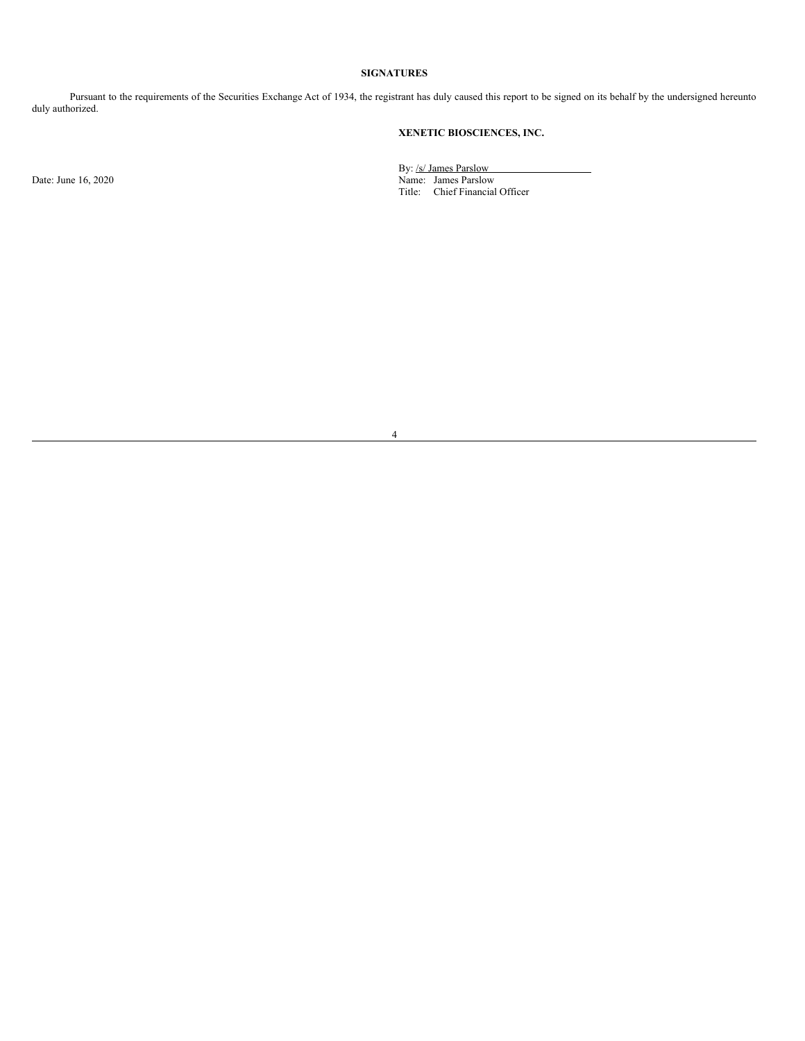# **SIGNATURES**

Pursuant to the requirements of the Securities Exchange Act of 1934, the registrant has duly caused this report to be signed on its behalf by the undersigned hereunto duly authorized.

# **XENETIC BIOSCIENCES, INC.**

By: /s/ James Parslow Date: June 16, 2020 Name: James Parslow Title: Chief Financial Officer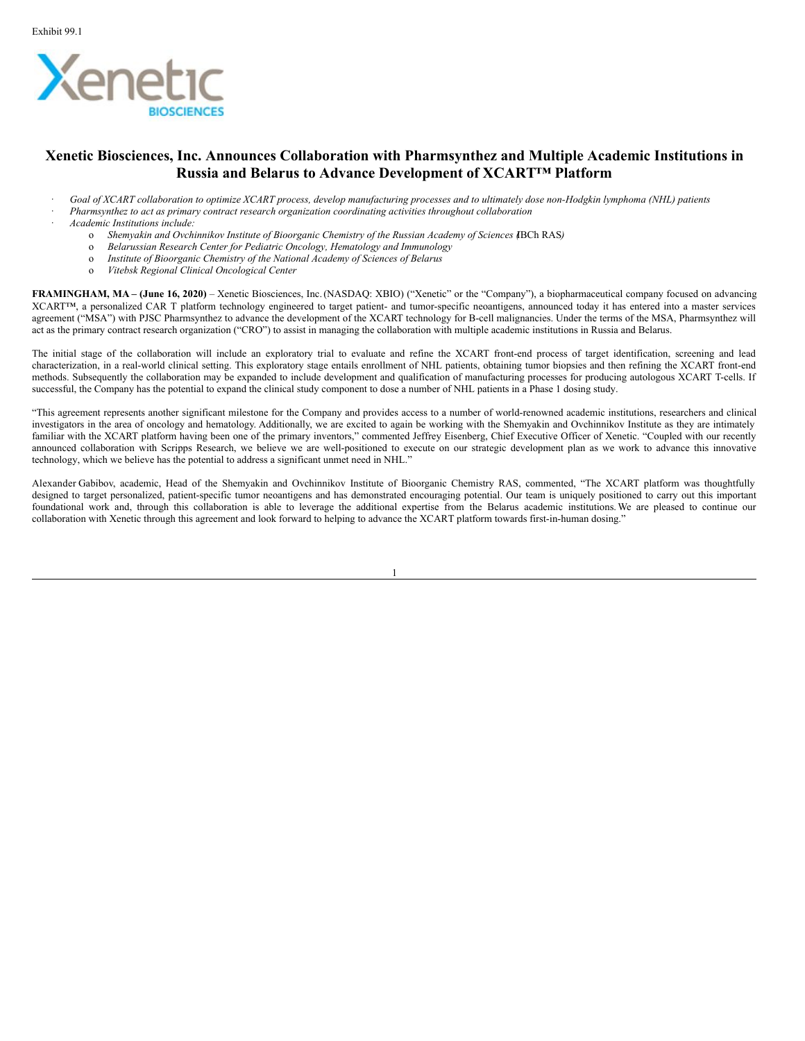

# **Xenetic Biosciences, Inc. Announces Collaboration with Pharmsynthez and Multiple Academic Institutions in Russia and Belarus to Advance Development of XCART™ Platform**

- Goal of XCART collaboration to optimize XCART process, develop manufacturing processes and to ultimately dose non-Hodgkin lymphoma (NHL) patients
	- · *Pharmsynthez to act as primary contract research organization coordinating activities throughout collaboration*
- · *Academic Institutions include:*
	- o *Shemyakin and Ovchinnikov Institute of Bioorganic Chemistry of the Russian Academy of Sciences (*IBCh RAS*)*
	- o *Belarussian Research Center for Pediatric Oncology, Hematology and Immunology*
	- o *Institute of Bioorganic Chemistry of the National Academy of Sciences of Belarus*
	- o *Vitebsk Regional Clinical Oncological Center*

**FRAMINGHAM, MA – (June 16, 2020)** – Xenetic Biosciences, Inc.(NASDAQ: XBIO) ("Xenetic" or the "Company"), a biopharmaceutical company focused on advancing XCART™, a personalized CAR T platform technology engineered to target patient- and tumor-specific neoantigens, announced today it has entered into a master services agreement ("MSA") with PJSC Pharmsynthez to advance the development of the XCART technology for B-cell malignancies. Under the terms of the MSA, Pharmsynthez will act as the primary contract research organization ("CRO") to assist in managing the collaboration with multiple academic institutions in Russia and Belarus.

The initial stage of the collaboration will include an exploratory trial to evaluate and refine the XCART front-end process of target identification, screening and lead characterization, in a real-world clinical setting. This exploratory stage entails enrollment of NHL patients, obtaining tumor biopsies and then refining the XCART front-end methods. Subsequently the collaboration may be expanded to include development and qualification of manufacturing processes for producing autologous XCART T-cells. If successful, the Company has the potential to expand the clinical study component to dose a number of NHL patients in a Phase 1 dosing study.

"This agreement represents another significant milestone for the Company and provides access to a number of world-renowned academic institutions, researchers and clinical investigators in the area of oncology and hematology. Additionally, we are excited to again be working with the Shemyakin and Ovchinnikov Institute as they are intimately familiar with the XCART platform having been one of the primary inventors," commented Jeffrey Eisenberg, Chief Executive Officer of Xenetic. "Coupled with our recently announced collaboration with Scripps Research, we believe we are well-positioned to execute on our strategic development plan as we work to advance this innovative technology, which we believe has the potential to address a significant unmet need in NHL."

Alexander Gabibov, academic, Head of the Shemyakin and Ovchinnikov Institute of Bioorganic Chemistry RAS, commented, "The XCART platform was thoughtfully designed to target personalized, patient-specific tumor neoantigens and has demonstrated encouraging potential. Our team is uniquely positioned to carry out this important foundational work and, through this collaboration is able to leverage the additional expertise from the Belarus academic institutions.We are pleased to continue our collaboration with Xenetic through this agreement and look forward to helping to advance the XCART platform towards first-in-human dosing."

1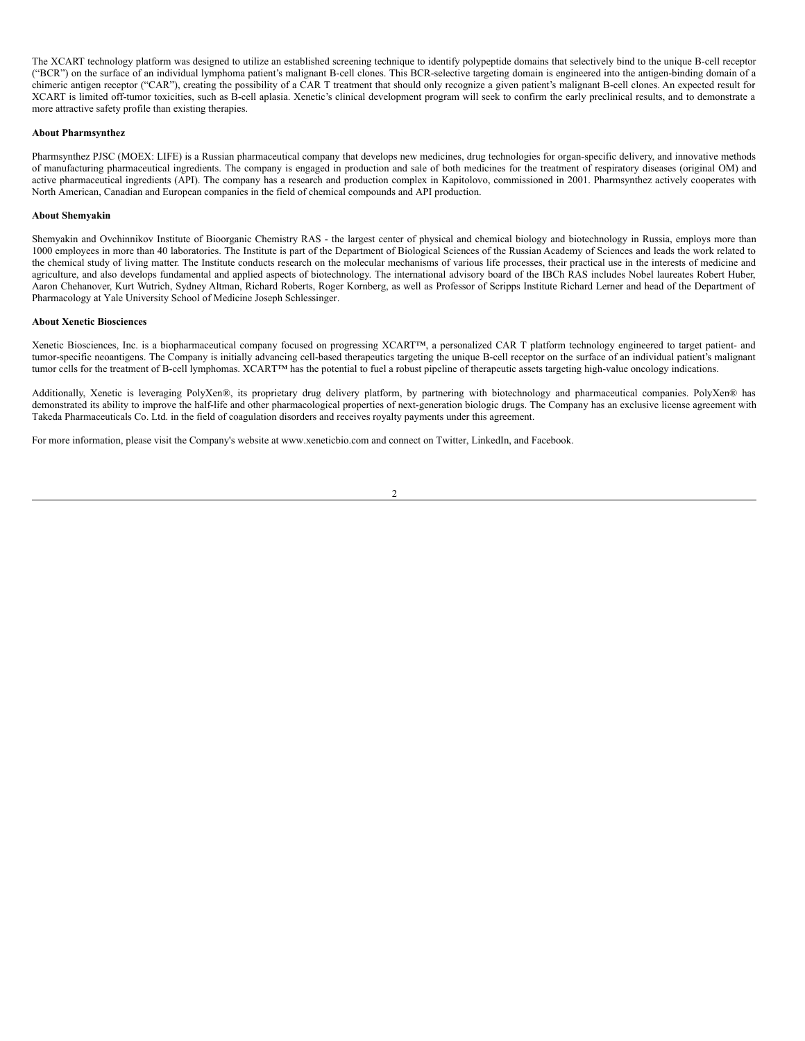<span id="page-5-0"></span>The XCART technology platform was designed to utilize an established screening technique to identify polypeptide domains that selectively bind to the unique B-cell receptor ("BCR") on the surface of an individual lymphoma patient's malignant B-cell clones. This BCR-selective targeting domain is engineered into the antigen-binding domain of a chimeric antigen receptor ("CAR"), creating the possibility of a CAR T treatment that should only recognize a given patient's malignant B-cell clones. An expected result for XCART is limited off-tumor toxicities, such as B-cell aplasia. Xenetic's clinical development program will seek to confirm the early preclinical results, and to demonstrate a more attractive safety profile than existing therapies.

# **About Pharmsynthez**

Pharmsynthez PJSC (MOEX: LIFE) is a Russian pharmaceutical company that develops new medicines, drug technologies for organ-specific delivery, and innovative methods of manufacturing pharmaceutical ingredients. The company is engaged in production and sale of both medicines for the treatment of respiratory diseases (original OM) and active pharmaceutical ingredients (API). The company has a research and production complex in Kapitolovo, commissioned in 2001. Pharmsynthez actively cooperates with North American, Canadian and European companies in the field of chemical compounds and API production.

### **About Shemyakin**

Shemyakin and Ovchinnikov Institute of Bioorganic Chemistry RAS - the largest center of physical and chemical biology and biotechnology in Russia, employs more than 1000 employees in more than 40 laboratories. The Institute is part of the Department of Biological Sciences of the Russian Academy of Sciences and leads the work related to the chemical study of living matter. The Institute conducts research on the molecular mechanisms of various life processes, their practical use in the interests of medicine and agriculture, and also develops fundamental and applied aspects of biotechnology. The international advisory board of the IBCh RAS includes Nobel laureates Robert Huber, Aaron Chehanover, Kurt Wutrich, Sydney Altman, Richard Roberts, Roger Kornberg, as well as Professor of Scripps Institute Richard Lerner and head of the Department of Pharmacology at Yale University School of Medicine Joseph Schlessinger.

### **About Xenetic Biosciences**

Xenetic Biosciences, Inc. is a biopharmaceutical company focused on progressing XCART™, a personalized CAR T platform technology engineered to target patient- and tumor-specific neoantigens. The Company is initially advancing cell-based therapeutics targeting the unique B-cell receptor on the surface of an individual patient's malignant tumor cells for the treatment of B-cell lymphomas. XCART™ has the potential to fuel a robust pipeline of therapeutic assets targeting high-value oncology indications.

Additionally, Xenetic is leveraging PolyXen®, its proprietary drug delivery platform, by partnering with biotechnology and pharmaceutical companies. PolyXen® has demonstrated its ability to improve the half-life and other pharmacological properties of next-generation biologic drugs. The Company has an exclusive license agreement with Takeda Pharmaceuticals Co. Ltd. in the field of coagulation disorders and receives royalty payments under this agreement.

For more information, please visit the Company's website at www.xeneticbio.com and connect on Twitter, LinkedIn, and Facebook.